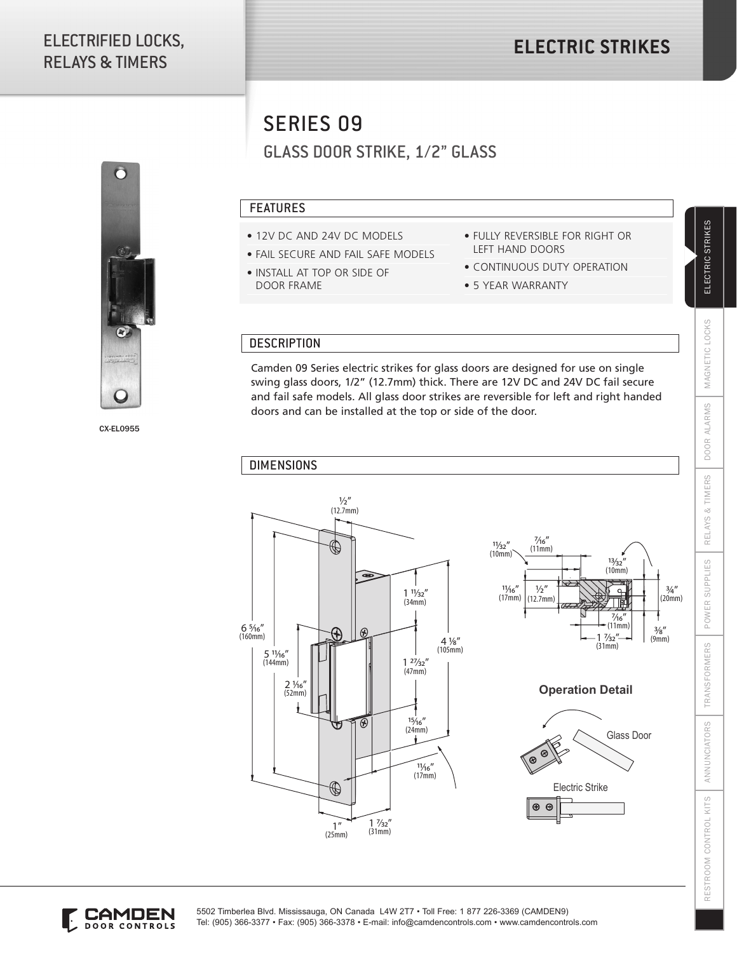# ELECTRIFIED LOCKS, RELAYS & TIMERS



CX-EL0955

SERIES 09

GLASS DOOR STRIKE, 1/2" GLASS

### FEATURES

- 12V DC AND 24V DC MODELS
- FAIL SECURE AND FAIL SAFE MODELS
- INSTALL AT TOP OR SIDE OF DOOR FRAME
- FULLY REVERSIBLE FOR RIGHT OR LEFT HAND DOORS
- CONTINUOUS DUTY OPERATION
- 5 YEAR WARRANTY

#### **DESCRIPTION**

Camden 09 Series electric strikes for glass doors are designed for use on single swing glass doors, 1/2" (12.7mm) thick. There are 12V DC and 24V DC fail secure and fail safe models. All glass door strikes are reversible for left and right handed doors and can be installed at the top or side of the door.

#### DIMENSIONS











ELECTRIC STRIKES

MAGNETIC LOCKS

DOOR ALARMS



5502 Timberlea Blvd. Mississauga, ON Canada L4W 2T7 • Toll Free: 1 877 226-3369 (CAMDEN9) Tel: (905) 366-3377 • Fax: (905) 366-3378 • E-mail: info@camdencontrols.com • www.camdencontrols.com